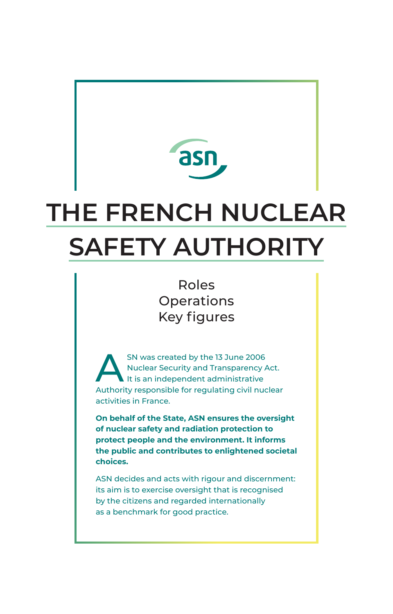

# **THE FRENCH NUCLEAR SAFETY AUTHORITY**

Roles Operations Key figures

SN was created by the 13 June 2006<br>Nuclear Security and Transparency A<br>It is an independent administrative Nuclear Security and Transparency Act. It is an independent administrative Authority responsible for regulating civil nuclear activities in France.

**On behalf of the State, ASN ensures the oversight of nuclear safety and radiation protection to protect people and the environment. It informs the public and contributes to enlightened societal choices.**

ASN decides and acts with rigour and discernment: its aim is to exercise oversight that is recognised by the citizens and regarded internationally as a benchmark for good practice.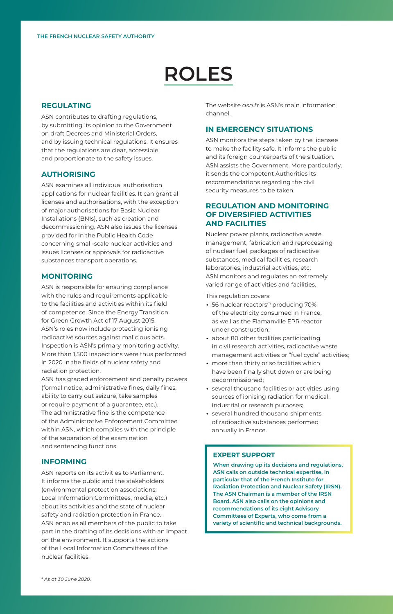## **ROLES**

## **REGULATING**

ASN contributes to drafting regulations, by submitting its opinion to the Government on draft Decrees and Ministerial Orders, and by issuing technical regulations. It ensures that the regulations are clear, accessible and proportionate to the safety issues.

### **AUTHORISING**

ASN examines all individual authorisation applications for nuclear facilities. It can grant all licenses and authorisations, with the exception of major authorisations for Basic Nuclear Installations (BNIs), such as creation and decommissioning. ASN also issues the licenses provided for in the Public Health Code concerning small-scale nuclear activities and issues licenses or approvals for radioactive substances transport operations.

#### **MONITORING**

ASN is responsible for ensuring compliance with the rules and requirements applicable to the facilities and activities within its field of competence. Since the Energy Transition for Green Growth Act of 17 August 2015, ASN's roles now include protecting ionising radioactive sources against malicious acts. Inspection is ASN's primary monitoring activity. More than 1,500 inspections were thus performed in 2020 in the fields of nuclear safety and radiation protection.

ASN has graded enforcement and penalty powers (formal notice, administrative fines, daily fines, ability to carry out seizure, take samples or require payment of a guarantee, etc.). The administrative fine is the competence of the Administrative Enforcement Committee within ASN, which complies with the principle of the separation of the examination and sentencing functions.

#### **INFORMING**

ASN reports on its activities to Parliament. It informs the public and the stakeholders (environmental protection associations, Local Information Committees, media, etc.) about its activities and the state of nuclear safety and radiation protection in France. ASN enables all members of the public to take part in the drafting of its decisions with an impact on the environment. It supports the actions of the Local Information Committees of the nuclear facilities.

The website *asn fr* is ASN's main information channel.

## **IN EMERGENCY SITUATIONS**

ASN monitors the steps taken by the licensee to make the facility safe. It informs the public and its foreign counterparts of the situation. ASN assists the Government. More particularly, it sends the competent Authorities its recommendations regarding the civil security measures to be taken.

### **REGULATION AND MONITORING OF DIVERSIFIED ACTIVITIES AND FACILITIES**

Nuclear power plants, radioactive waste management, fabrication and reprocessing of nuclear fuel, packages of radioactive substances, medical facilities, research laboratories, industrial activities, etc. ASN monitors and regulates an extremely varied range of activities and facilities.

This regulation covers:

- ∙ 56 nuclear reactors(\*) producing 70% of the electricity consumed in France, as well as the Flamanville EPR reactor under construction;
- ∙ about 80 other facilities participating in civil research activities, radioactive waste management activities or "fuel cycle" activities;
- ∙ more than thirty or so facilities which have been finally shut down or are being decommissioned;
- ∙ several thousand facilities or activities using sources of ionising radiation for medical, industrial or research purposes;
- ∙ several hundred thousand shipments of radioactive substances performed annually in France.

#### **EXPERT SUPPORT**

**When drawing up its decisions and regulations, ASN calls on outside technical expertise, in particular that of the French Institute for Radiation Protection and Nuclear Safety (IRSN). The ASN Chairman is a member of the IRSN Board. ASN also calls on the opinions and recommendations of its eight Advisory Committees of Experts, who come from a variety of scientific and technical backgrounds.**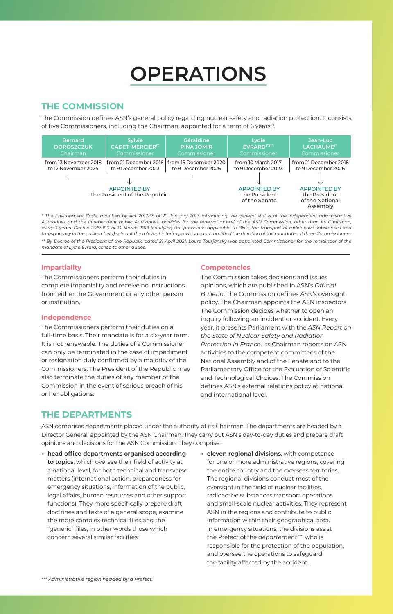## **OPERATIONS**

## **THE COMMISSION**

The Commission defines ASN's general policy regarding nuclear safety and radiation protection. It consists of five Commissioners, including the Chairman, appointed for a term of 6 years(\*).



*\* The Environment Code, modified by Act 2017-55 of 20 January 2017, introducing the general status of the independent administrative Authorities and the independent public Authorities, provides for the renewal of half of the ASN Commission, other than its Chairman, every 3 years. Decree 2019-190 of 14 March 2019 (codifying the provisions applicable to BNIs, the transport of radioactive substances and transparency in the nuclear field) sets out the relevant interim provisions and modified the duration of the mandates of three Commissioners. \*\* By Decree of the President of the Republic dated 21 April 2021, Laure Tourjansky was appointed Commissioner for the remainder of the* 

*mandate of Lydie Évrard, called to other duties.*

#### **Impartiality**

The Commissioners perform their duties in complete impartiality and receive no instructions from either the Government or any other person or institution.

### **Independence**

The Commissioners perform their duties on a full-time basis. Their mandate is for a six-year term. It is not renewable. The duties of a Commissioner can only be terminated in the case of impediment or resignation duly confirmed by a majority of the Commissioners. The President of the Republic may also terminate the duties of any member of the Commission in the event of serious breach of his or her obligations.

### **Competencies**

The Commission takes decisions and issues opinions, which are published in ASN's *Official Bulletin*. The Commission defines ASN's oversight policy. The Chairman appoints the ASN inspectors. The Commission decides whether to open an inquiry following an incident or accident. Every year, it presents Parliament with the *ASN Report on the State of Nuclear Safety and Radiation Protection in France*. Its Chairman reports on ASN activities to the competent committees of the National Assembly and of the Senate and to the Parliamentary Office for the Evaluation of Scientific and Technological Choices. The Commission defines ASN's external relations policy at national and international level.

## **THE DEPARTMENTS**

ASN comprises departments placed under the authority of its Chairman. The departments are headed by a Director General, appointed by the ASN Chairman. They carry out ASN's day-to-day duties and prepare draft opinions and decisions for the ASN Commission. They comprise:

- ∙ **head office departments organised according to topics**, which oversee their field of activity at a national level, for both technical and transverse matters (international action, preparedness for emergency situations, information of the public, legal affairs, human resources and other support functions). They more specifically prepare draft doctrines and texts of a general scope, examine the more complex technical files and the "generic" files, in other words those which concern several similar facilities;
- ∙ **eleven regional divisions**, with competence for one or more administrative regions, covering the entire country and the overseas territories. The regional divisions conduct most of the oversight in the field of nuclear facilities, radioactive substances transport operations and small-scale nuclear activities. They represent ASN in the regions and contribute to public information within their geographical area. In emergency situations, the divisions assist the Prefect of the *département*(\*\*\*) who is responsible for the protection of the population, and oversee the operations to safeguard the facility affected by the accident.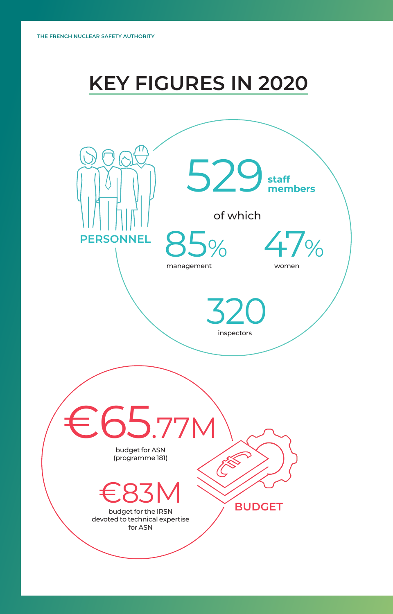## **KEY FIGURES IN 2020**

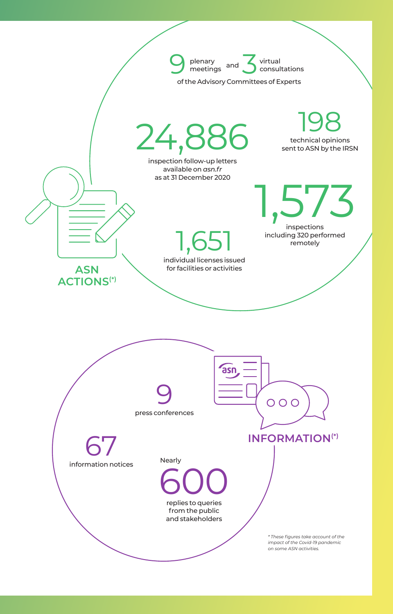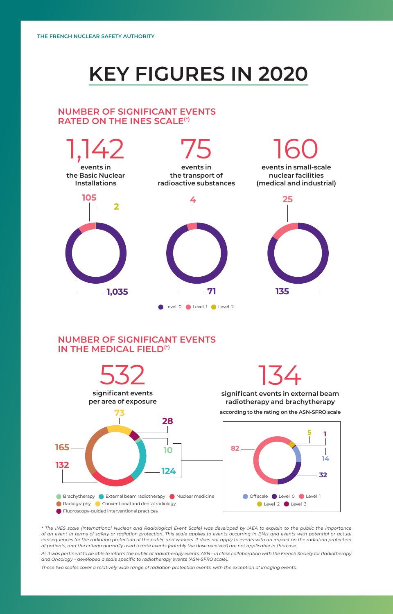## **KEY FIGURES IN 2020**

## **NUMBER OF SIGNIFICANT EVENTS RATED ON THE INES SCALE(\*)**



## **NUMBER OF SIGNIFICANT EVENTS IN THE MEDICAL FIELD(\*)**



**significant events in external beam radiotherapy and brachytherapy** 

**according to the rating on the ASN-SFRO scale** 



*\* The INES scale (International Nuclear and Radiological Event Scale) was developed by IAEA to explain to the public the importance of an event in terms of safety or radiation protection. This scale applies to events occurring in BNIs and events with potential or actual consequences for the radiation protection of the public and workers. It does not apply to events with an impact on the radiation protection of patients, and the criteria normally used to rate events (notably the dose received) are not applicable in this case.* 

*As it was pertinent to be able to inform the public of radiotherapy events, ASN – in close collaboration with the French Society for Radiotherapy and Oncology – developed a scale specific to radiotherapy events (ASN-SFRO scale).* 

*These two scales cover a relatively wide range of radiation protection events, with the exception of imaging events.*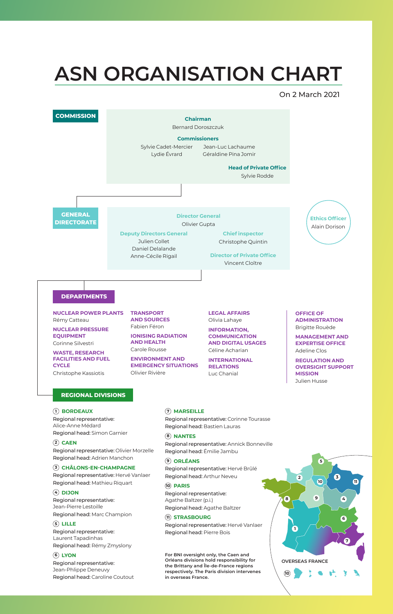## **ASN ORGANISATION CHART**

On 2 March 2021